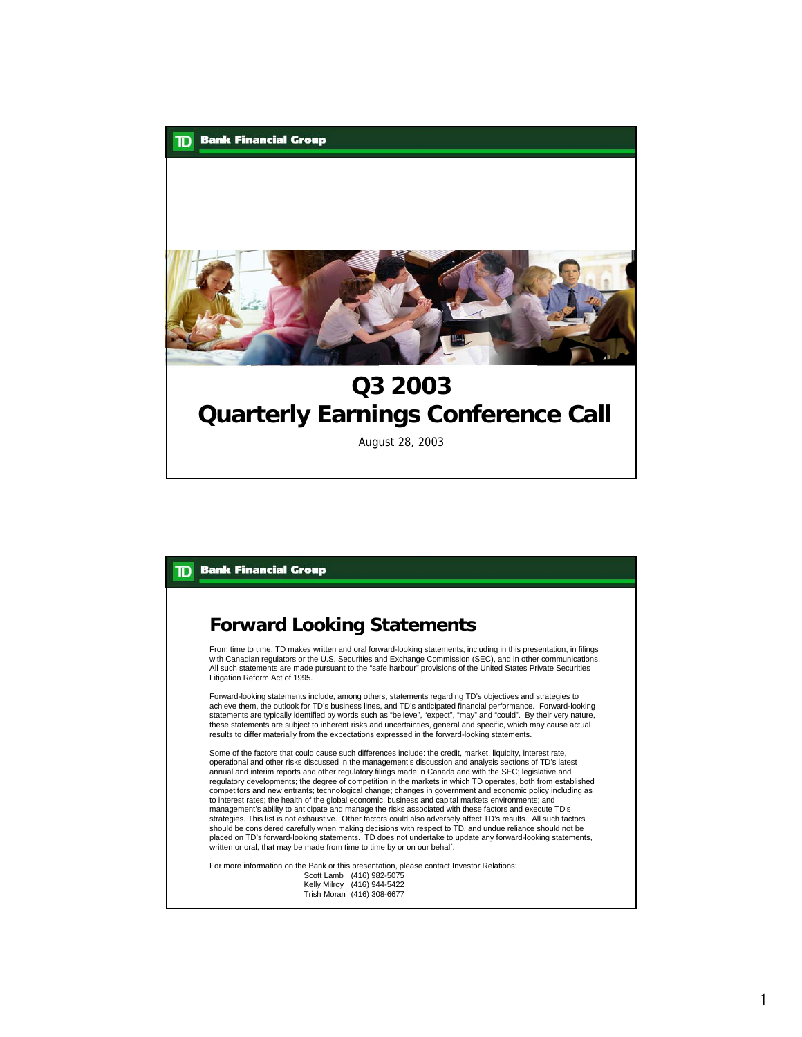

### **Forward Looking Statements**

From time to time, TD makes written and oral forward-looking statements, including in this presentation, in filings with Canadian regulators or the U.S. Securities and Exchange Commission (SEC), and in other communications. All such statements are made pursuant to the "safe harbour" provisions of the United States Private Securities Litigation Reform Act of 1995.

Forward-looking statements include, among others, statements regarding TD's objectives and strategies to achieve them, the outlook for TD's business lines, and TD's anticipated financial performance. Forward-looking statements are typically identified by words such as "believe", "expect", "may" and "could". By their very nature, these statements are subject to inherent risks and uncertainties, general and specific, which may cause actual results to differ materially from the expectations expressed in the forward-looking statements.

Some of the factors that could cause such differences include: the credit, market, liquidity, interest rate, operational and other risks discussed in the management's discussion and analysis sections of TD's latest annual and interim reports and other regulatory filings made in Canada and with the SEC; legislative and regulatory developments; the degree of competition in the markets in which TD operates, both from established competitors and new entrants; technological change; changes in government and economic policy including as to interest rates; the health of the global economic, business and capital markets environments; and management's ability to anticipate and manage the risks associated with these factors and execute TD's strategies. This list is not exhaustive. Other factors could also adversely affect TD's results. All such factors should be considered carefully when making decisions with respect to TD, and undue reliance should not be placed on TD's forward-looking statements. TD does not undertake to update any forward-looking statements, written or oral, that may be made from time to time by or on our behalf.

For more information on the Bank or this presentation, please contact Investor Relations: Scott Lamb (416) 982-5075

Kelly Milroy (416) 944-5422 Trish Moran (416) 308-6677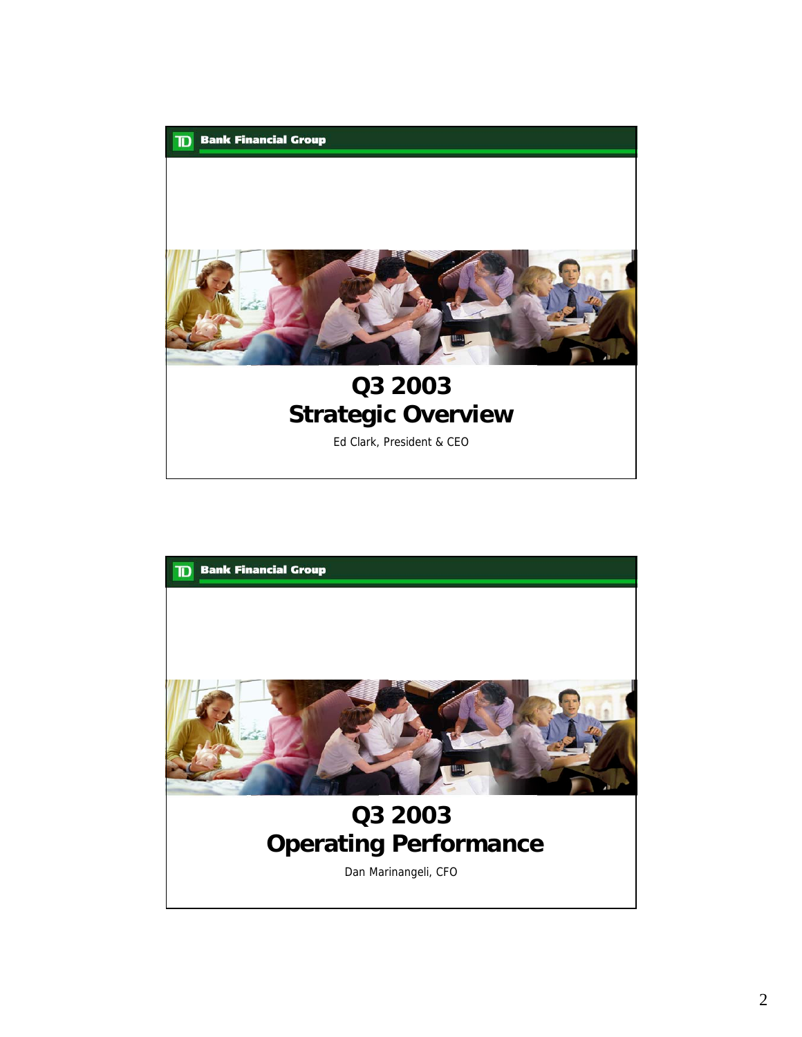

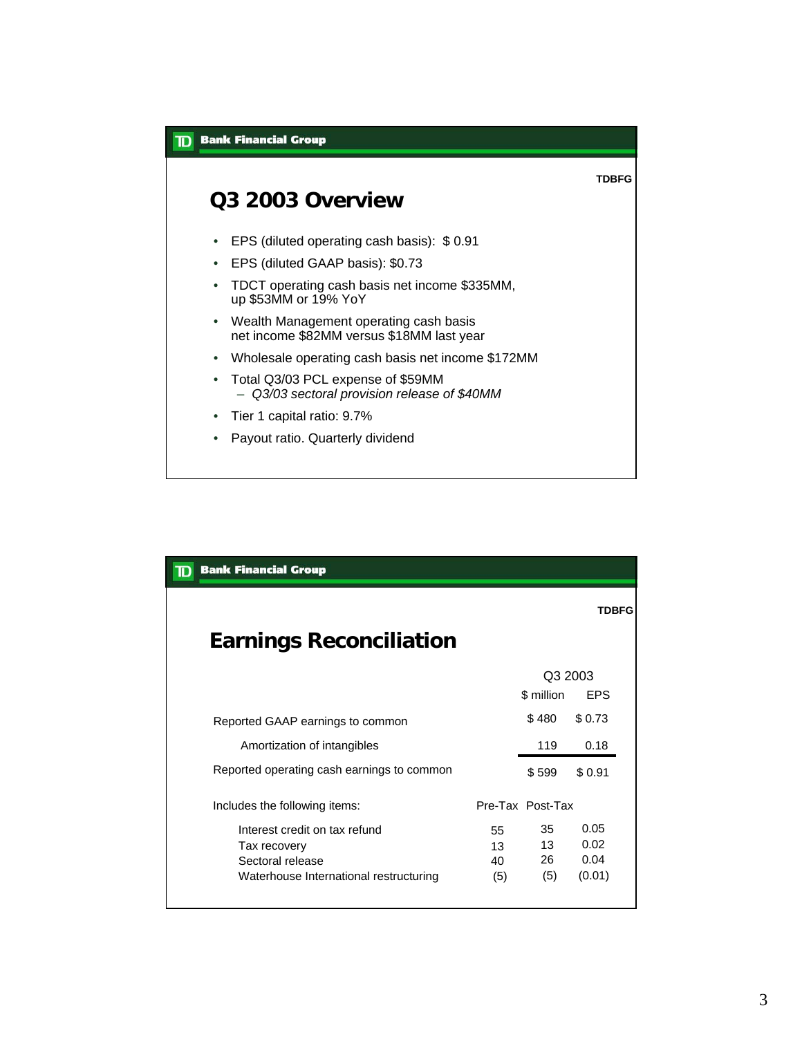

| <b>Bank Financial Group</b><br>ID          |     |                  |              |
|--------------------------------------------|-----|------------------|--------------|
|                                            |     |                  | <b>TDBFG</b> |
| <b>Earnings Reconciliation</b>             |     |                  |              |
|                                            |     | Q3 2003          |              |
|                                            |     | \$ million       | <b>FPS</b>   |
| Reported GAAP earnings to common           |     | \$480            | \$0.73       |
| Amortization of intangibles                |     | 119              | 0.18         |
| Reported operating cash earnings to common |     | \$599            | \$0.91       |
| Includes the following items:              |     | Pre-Tax Post-Tax |              |
| Interest credit on tax refund              | 55  | 35               | 0.05         |
| Tax recovery                               | 13  | 13               | 0.02         |
| Sectoral release                           | 40  | 26               | 0.04         |
| Waterhouse International restructuring     | (5) | (5)              | (0.01)       |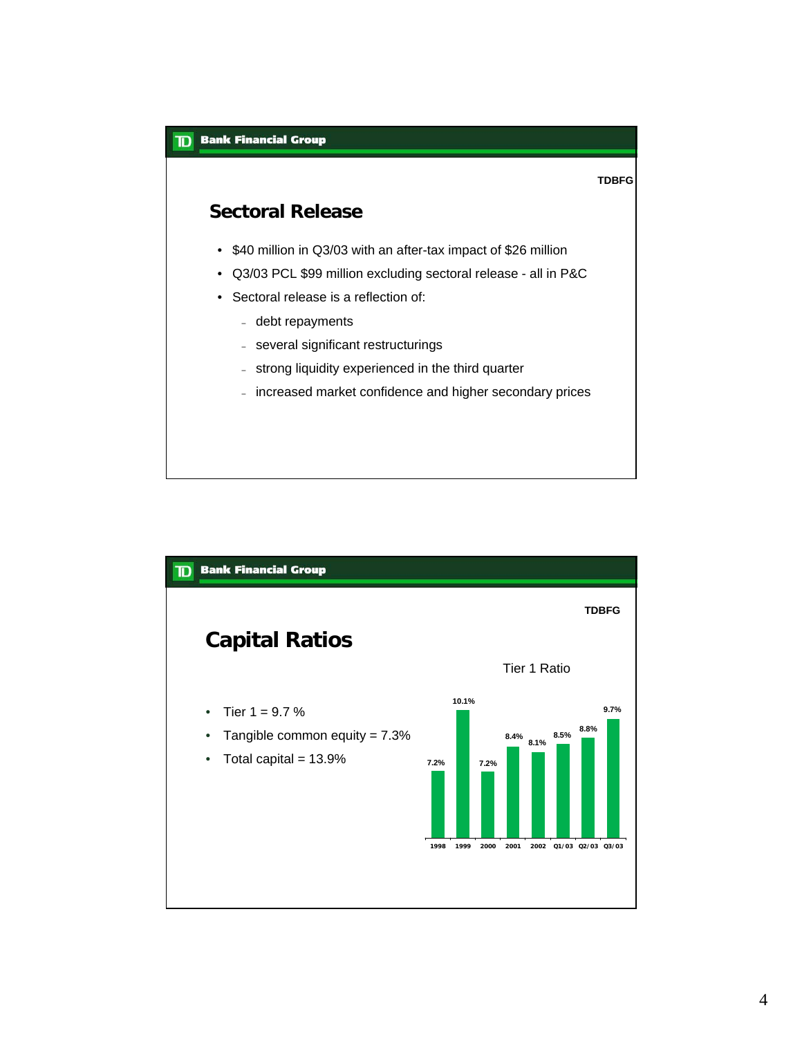

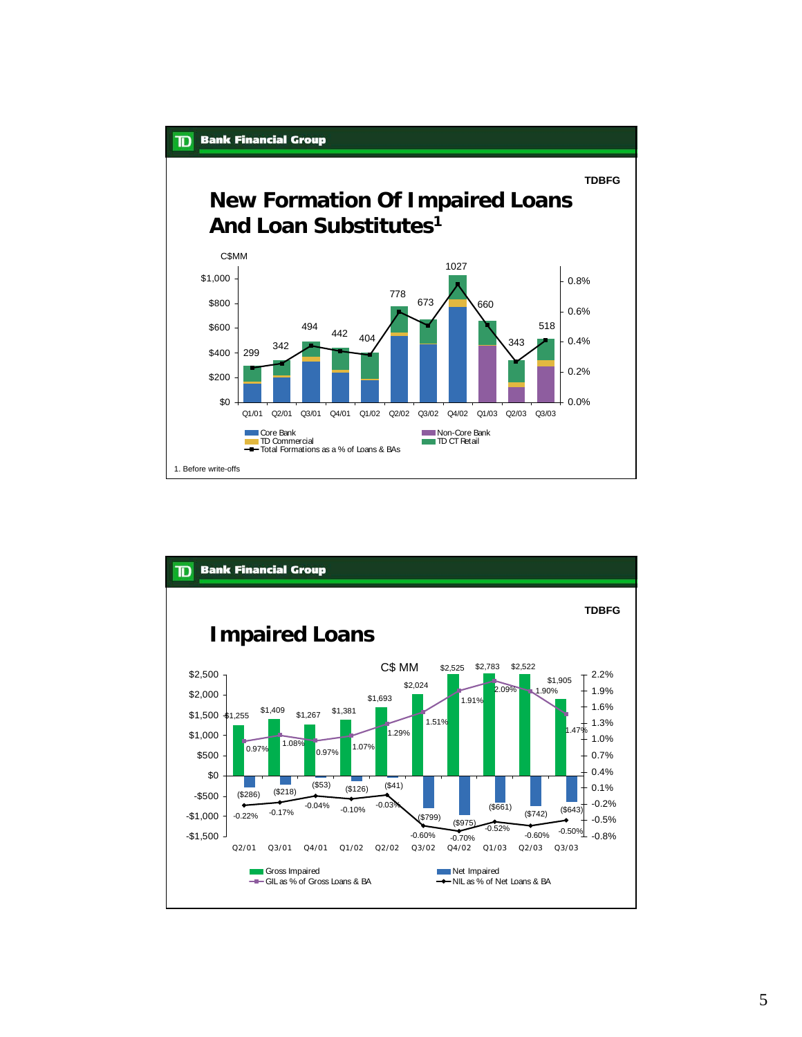

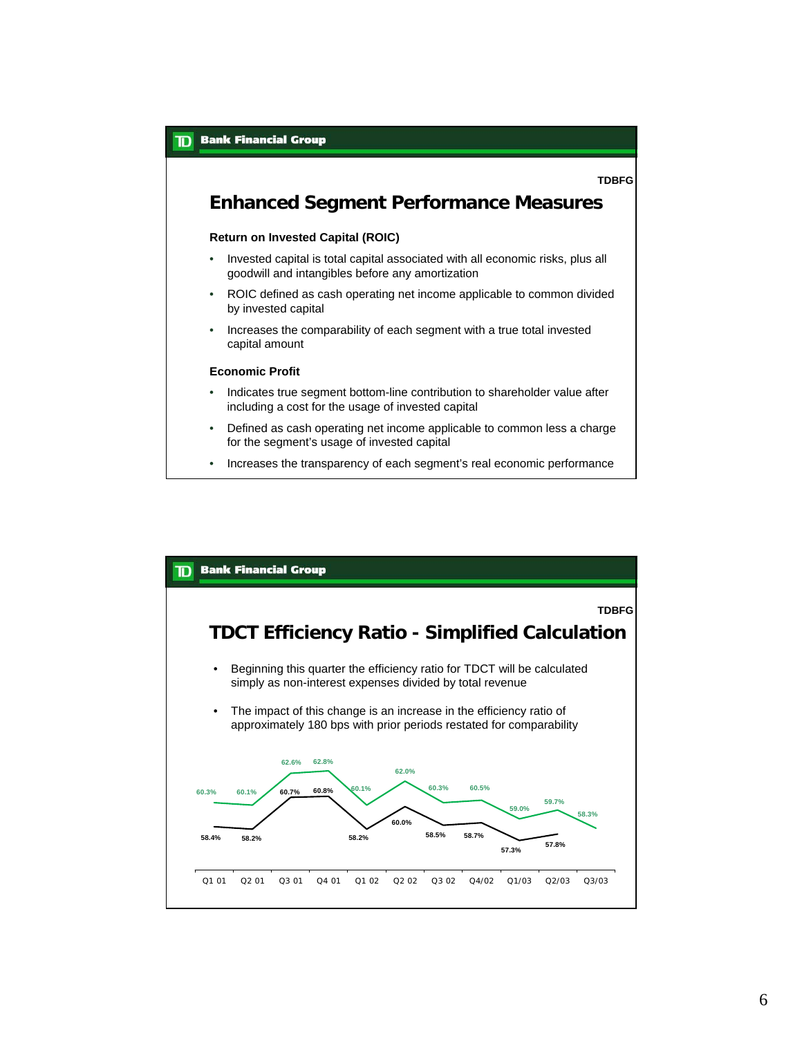

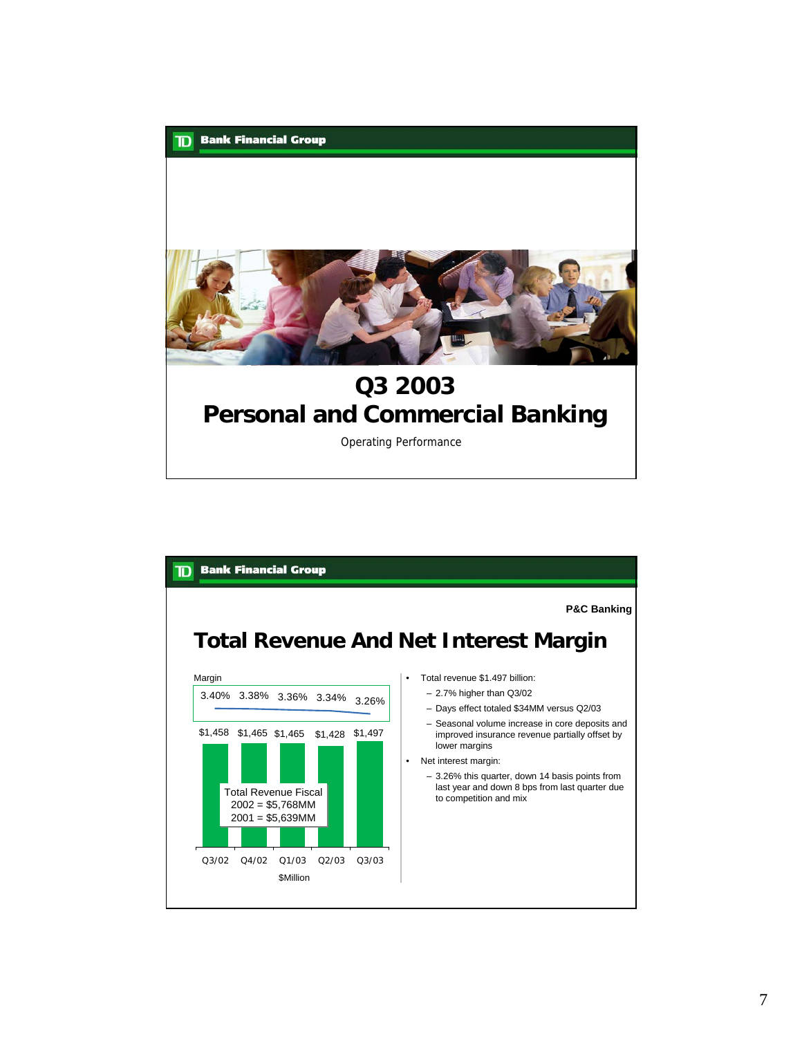

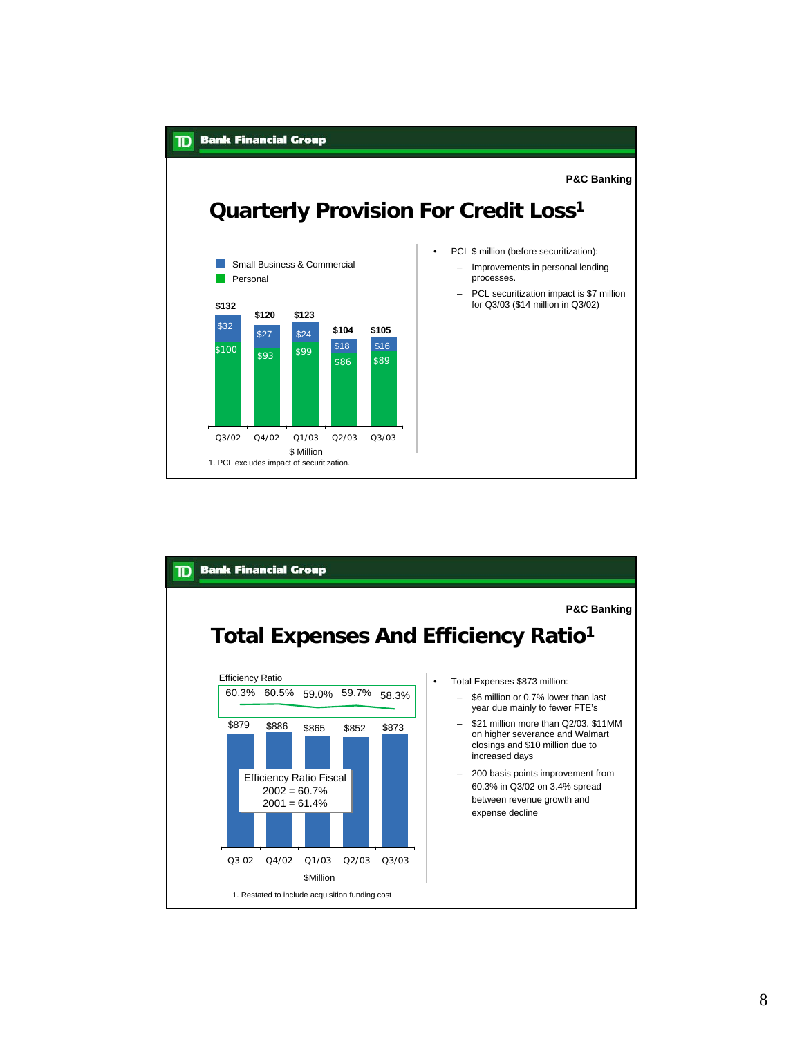

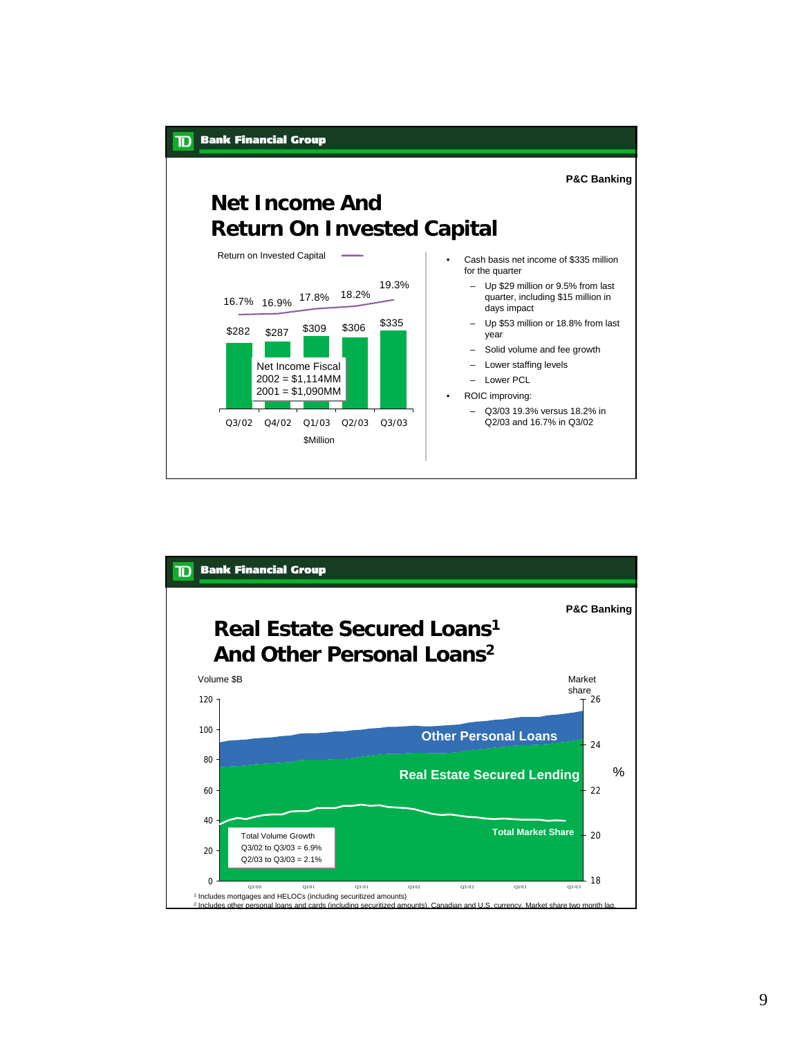

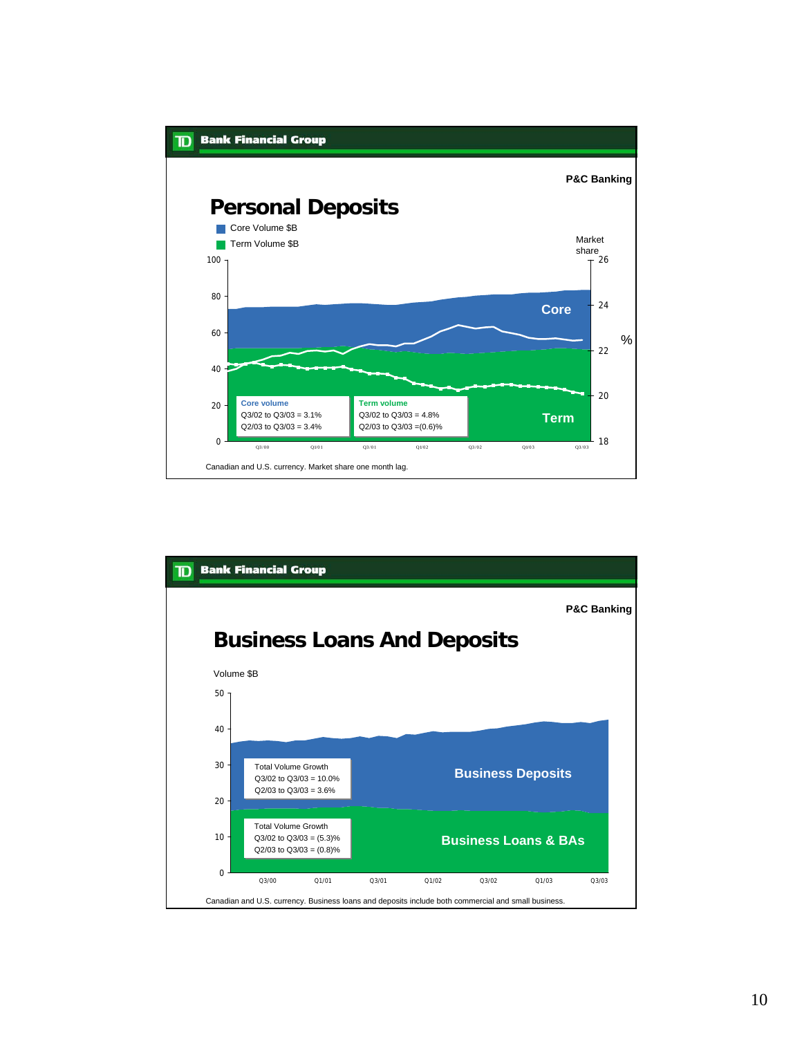

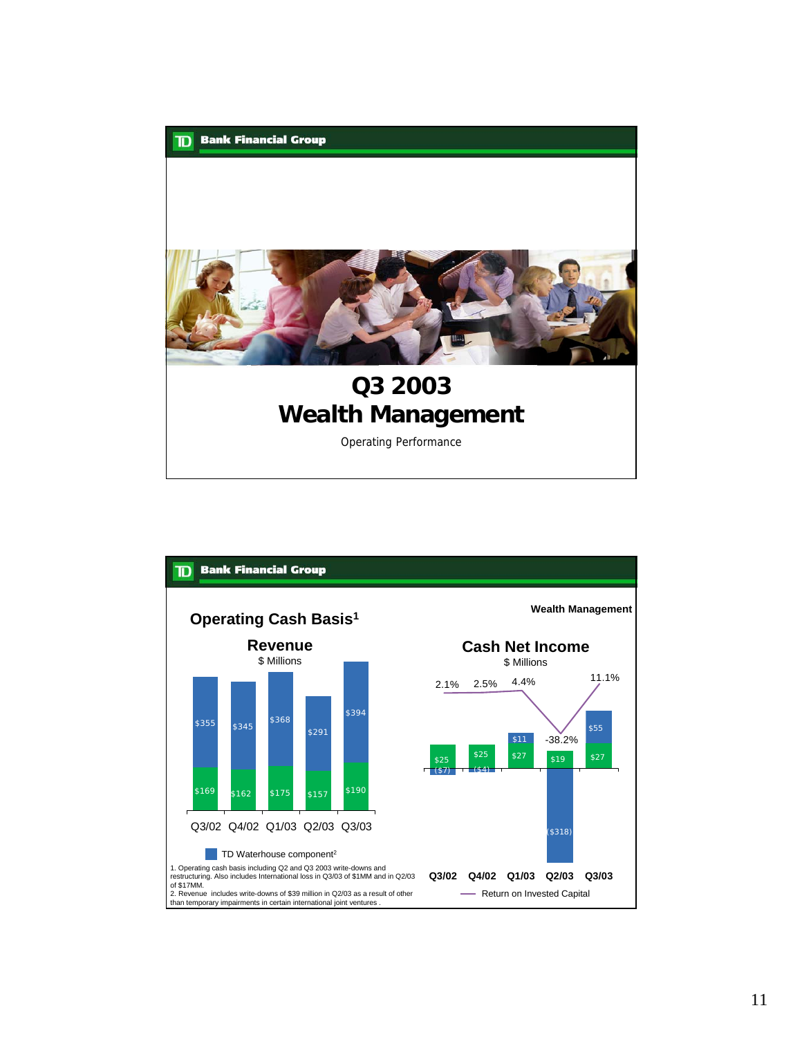

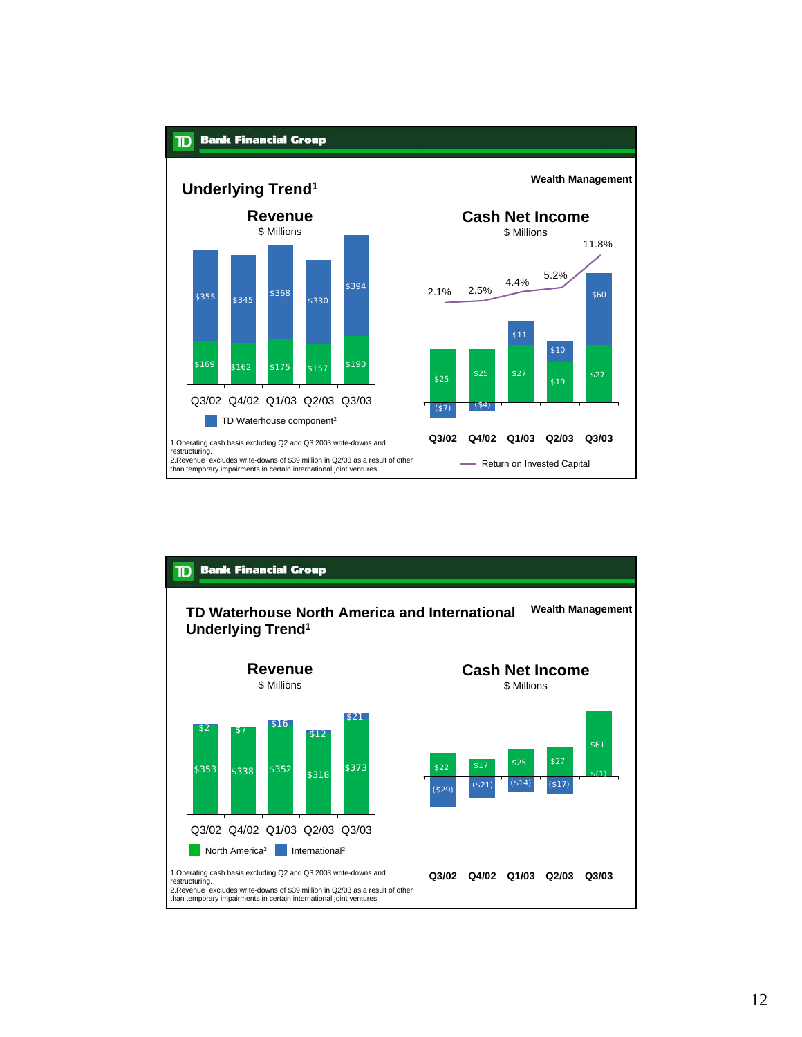

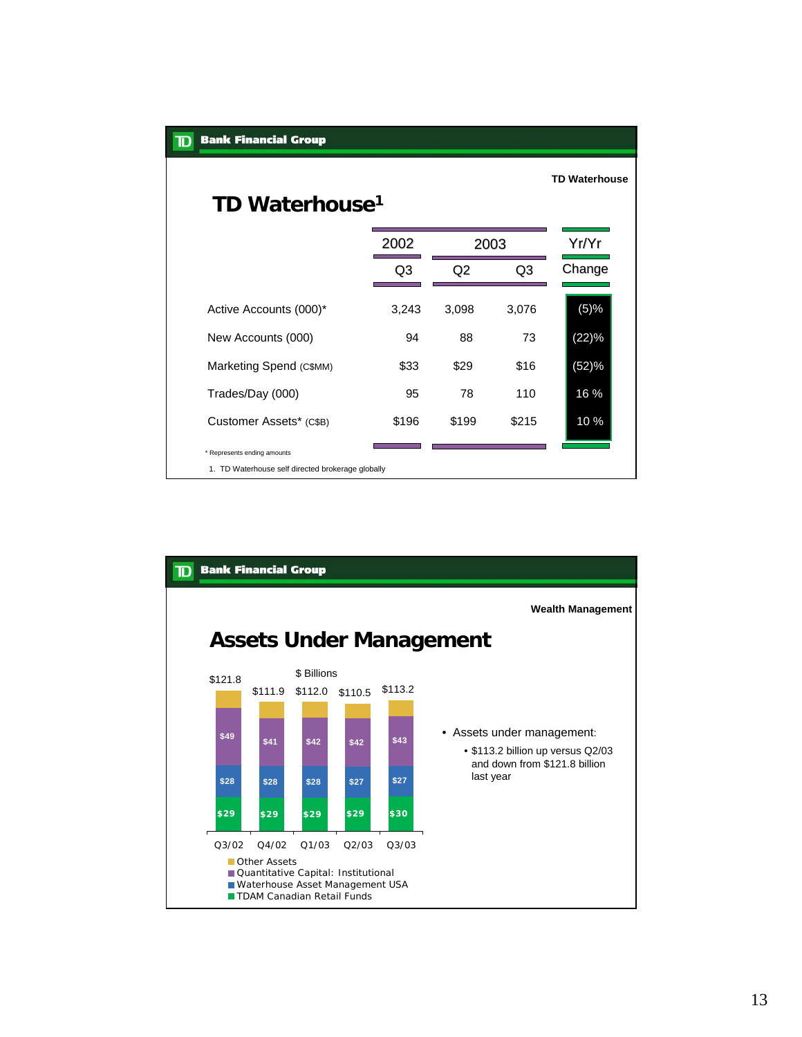| <b>Bank Financial Group</b>                                                      |       |       |       |                      |
|----------------------------------------------------------------------------------|-------|-------|-------|----------------------|
| TD Waterhouse <sup>1</sup>                                                       |       |       |       | <b>TD Waterhouse</b> |
|                                                                                  | 2002  | 2003  |       | Yr/Yr                |
|                                                                                  | Q3    | Q2    | Q3    | Change               |
| Active Accounts (000)*                                                           | 3,243 | 3,098 | 3,076 | (5)%                 |
| New Accounts (000)                                                               | 94    | 88    | 73    | (22)%                |
| Marketing Spend (C\$MM)                                                          | \$33  | \$29  | \$16  | (52)%                |
| Trades/Day (000)                                                                 | 95    | 78    | 110   | 16 %                 |
| Customer Assets* (C\$B)                                                          | \$196 | \$199 | \$215 | 10 %                 |
| * Represents ending amounts<br>1. TD Waterhouse self directed brokerage globally |       |       |       |                      |
|                                                                                  |       |       |       |                      |

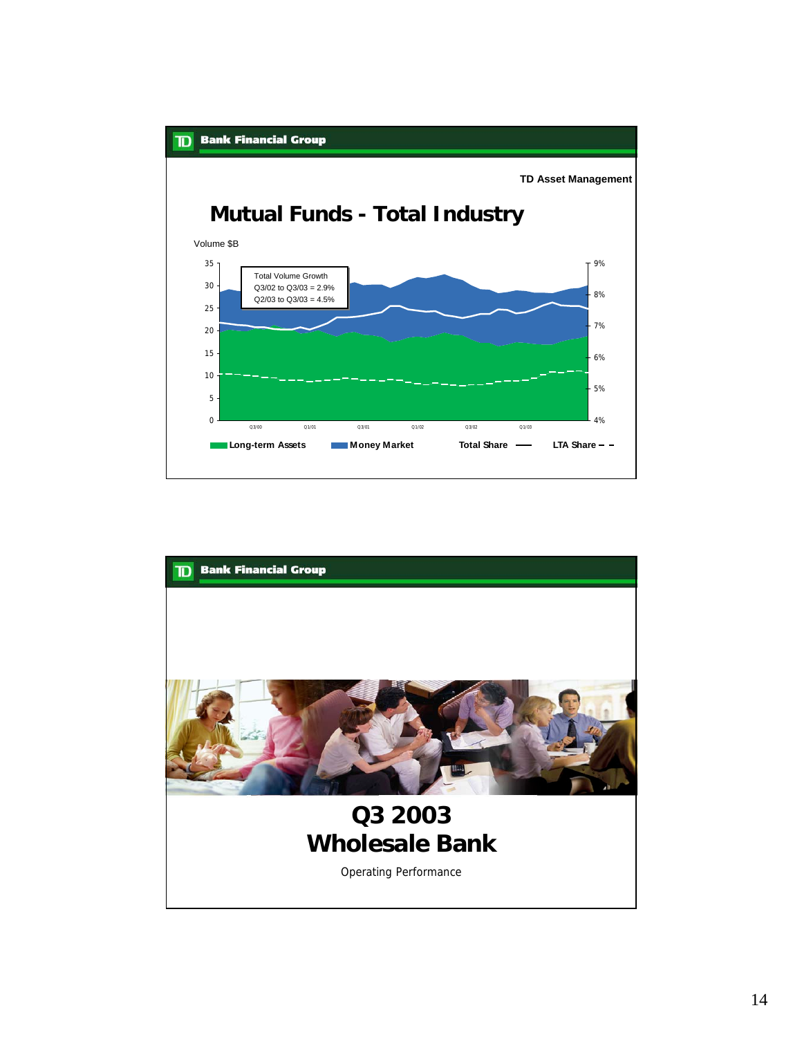

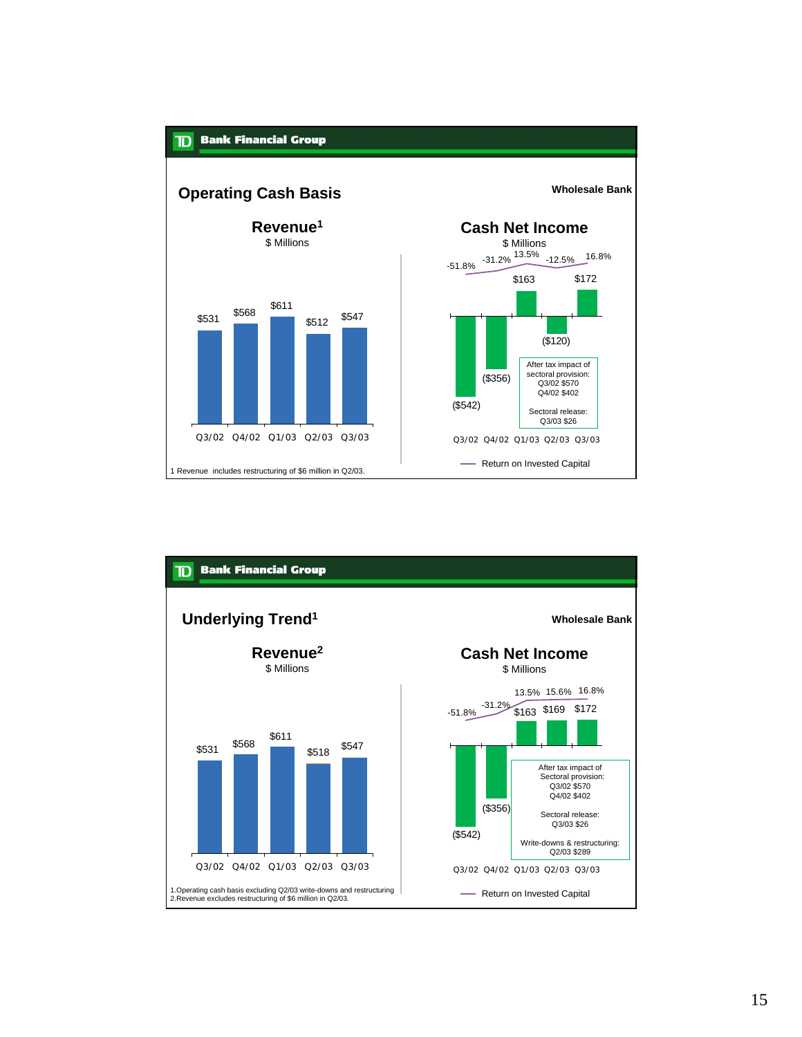

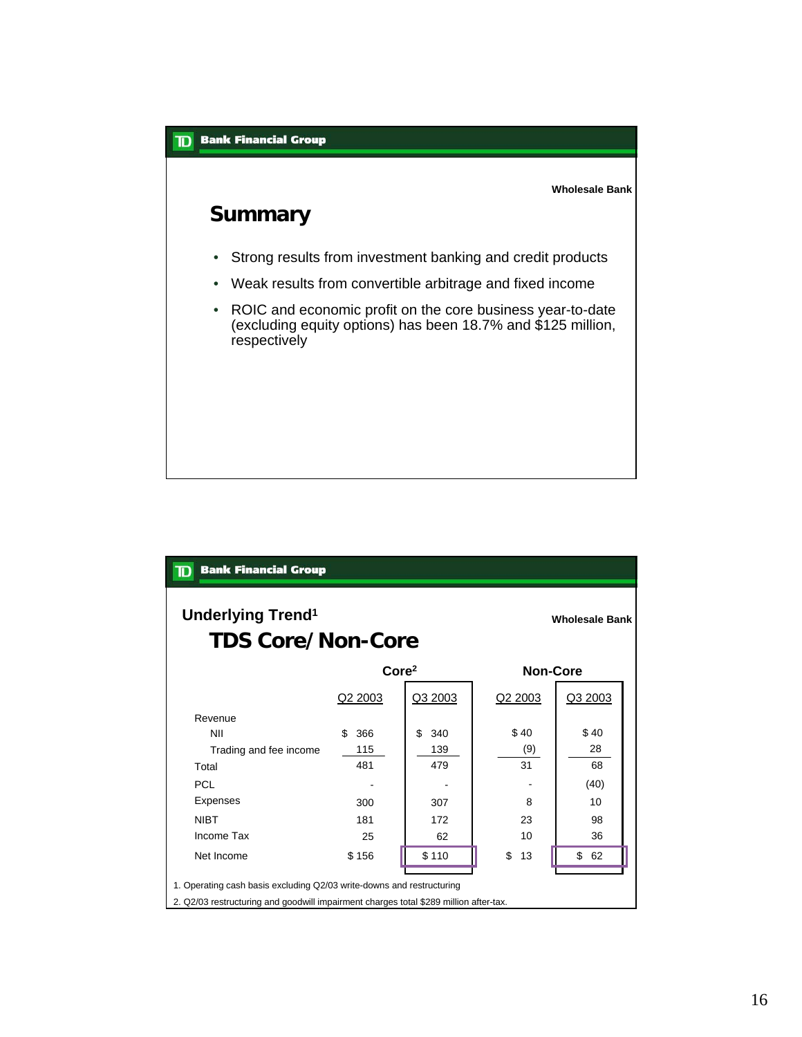

| <b>Bank Financial Group</b><br>$\mathbf D$                                            |            |                   |                 |                       |  |
|---------------------------------------------------------------------------------------|------------|-------------------|-----------------|-----------------------|--|
| Underlying Trend <sup>1</sup><br><b>TDS Core/Non-Core</b>                             |            |                   |                 | <b>Wholesale Bank</b> |  |
|                                                                                       |            | Core <sup>2</sup> | <b>Non-Core</b> |                       |  |
|                                                                                       | Q2 2003    | Q3 2003           | Q2 2003         | Q3 2003               |  |
| Revenue                                                                               |            |                   |                 |                       |  |
| <b>NII</b>                                                                            | 366<br>\$. | \$<br>340         | \$40            | \$40                  |  |
| Trading and fee income                                                                | 115        | 139               | (9)             | 28                    |  |
| Total                                                                                 | 481        | 479               | 31              | 68                    |  |
| <b>PCL</b>                                                                            |            |                   |                 | (40)                  |  |
| Expenses                                                                              | 300        | 307               | 8               | 10                    |  |
| <b>NIBT</b>                                                                           | 181        | 172               | 23              | 98                    |  |
| Income Tax                                                                            | 25         | 62                | 10              | 36                    |  |
| Net Income                                                                            | \$156      | \$110             | \$<br>13        | \$62                  |  |
| 1. Operating cash basis excluding Q2/03 write-downs and restructuring                 |            |                   |                 |                       |  |
| 2. Q2/03 restructuring and goodwill impairment charges total \$289 million after-tax. |            |                   |                 |                       |  |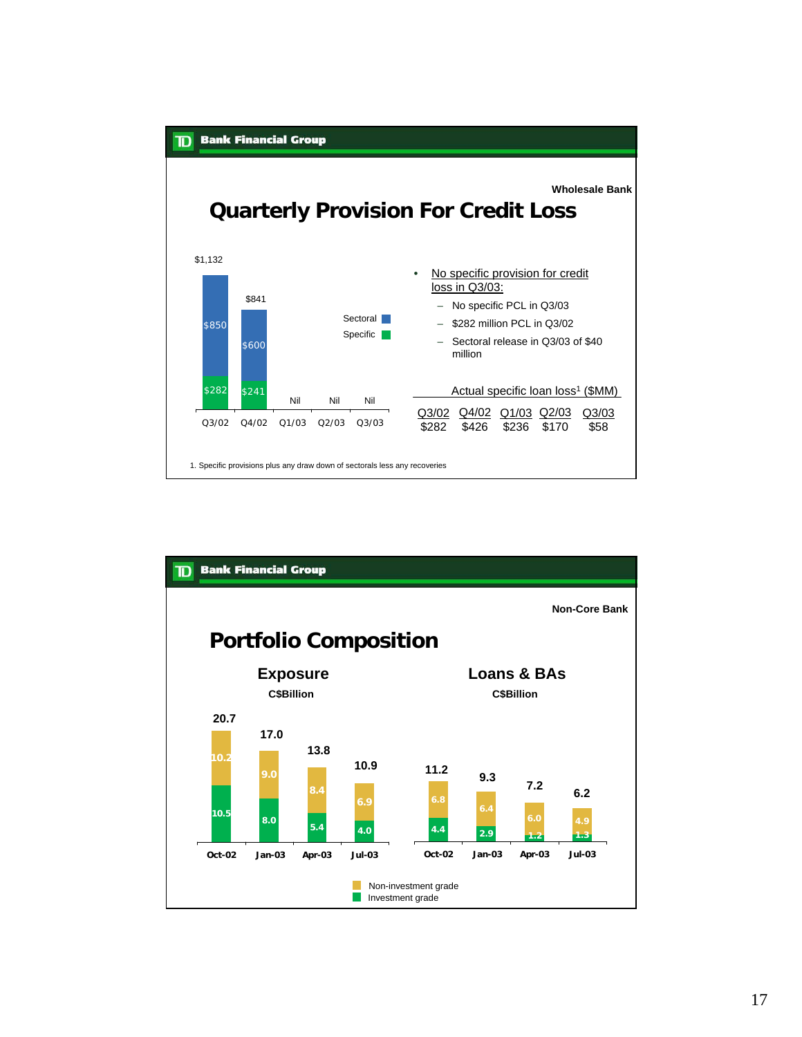

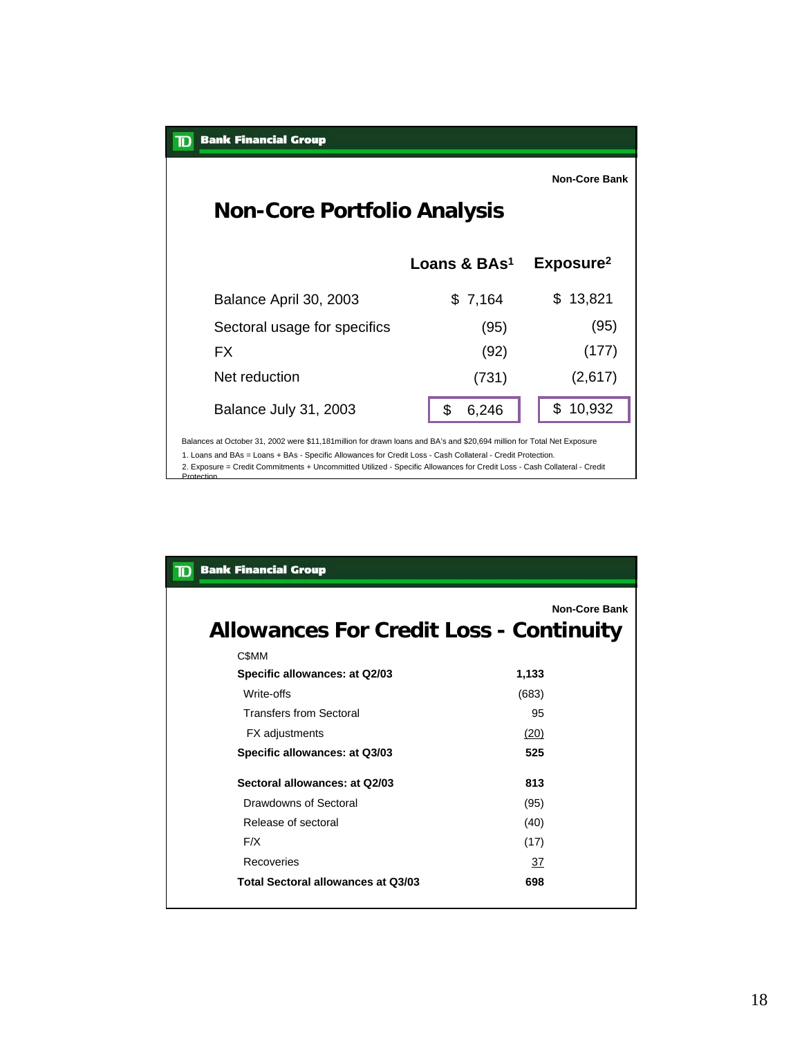| <b>Bank Financial Group</b><br>ID                                                                                                                                                                                                                                                                                                                                                |                          |                       |
|----------------------------------------------------------------------------------------------------------------------------------------------------------------------------------------------------------------------------------------------------------------------------------------------------------------------------------------------------------------------------------|--------------------------|-----------------------|
| <b>Non-Core Portfolio Analysis</b>                                                                                                                                                                                                                                                                                                                                               |                          | <b>Non-Core Bank</b>  |
|                                                                                                                                                                                                                                                                                                                                                                                  | Loans & BAs <sup>1</sup> | Exposure <sup>2</sup> |
| Balance April 30, 2003                                                                                                                                                                                                                                                                                                                                                           | \$7,164                  | \$.<br>13,821         |
| Sectoral usage for specifics                                                                                                                                                                                                                                                                                                                                                     | (95)                     | (95)                  |
| FX.                                                                                                                                                                                                                                                                                                                                                                              | (92)                     | (177)                 |
| Net reduction                                                                                                                                                                                                                                                                                                                                                                    | (731)                    | (2,617)               |
| Balance July 31, 2003                                                                                                                                                                                                                                                                                                                                                            | \$.<br>6,246             | \$<br>10,932          |
| Balances at October 31, 2002 were \$11,181 million for drawn loans and BA's and \$20,694 million for Total Net Exposure<br>1. Loans and BAs = Loans + BAs - Specific Allowances for Credit Loss - Cash Collateral - Credit Protection.<br>2. Exposure = Credit Commitments + Uncommitted Utilized - Specific Allowances for Credit Loss - Cash Collateral - Credit<br>Protection |                          |                       |

| <b>Bank Financial Group</b>                    |                      |
|------------------------------------------------|----------------------|
| <b>Allowances For Credit Loss - Continuity</b> | <b>Non-Core Bank</b> |
| C\$MM                                          |                      |
| Specific allowances: at Q2/03                  | 1,133                |
| Write-offs                                     | (683)                |
| <b>Transfers from Sectoral</b>                 | 95                   |
| <b>FX</b> adjustments                          | (20)                 |
| Specific allowances: at Q3/03                  | 525                  |
| Sectoral allowances: at Q2/03                  | 813                  |
| Drawdowns of Sectoral                          | (95)                 |
| Release of sectoral                            | (40)                 |
| F/X                                            | (17)                 |
| Recoveries                                     | 37                   |
| Total Sectoral allowances at Q3/03             | 698                  |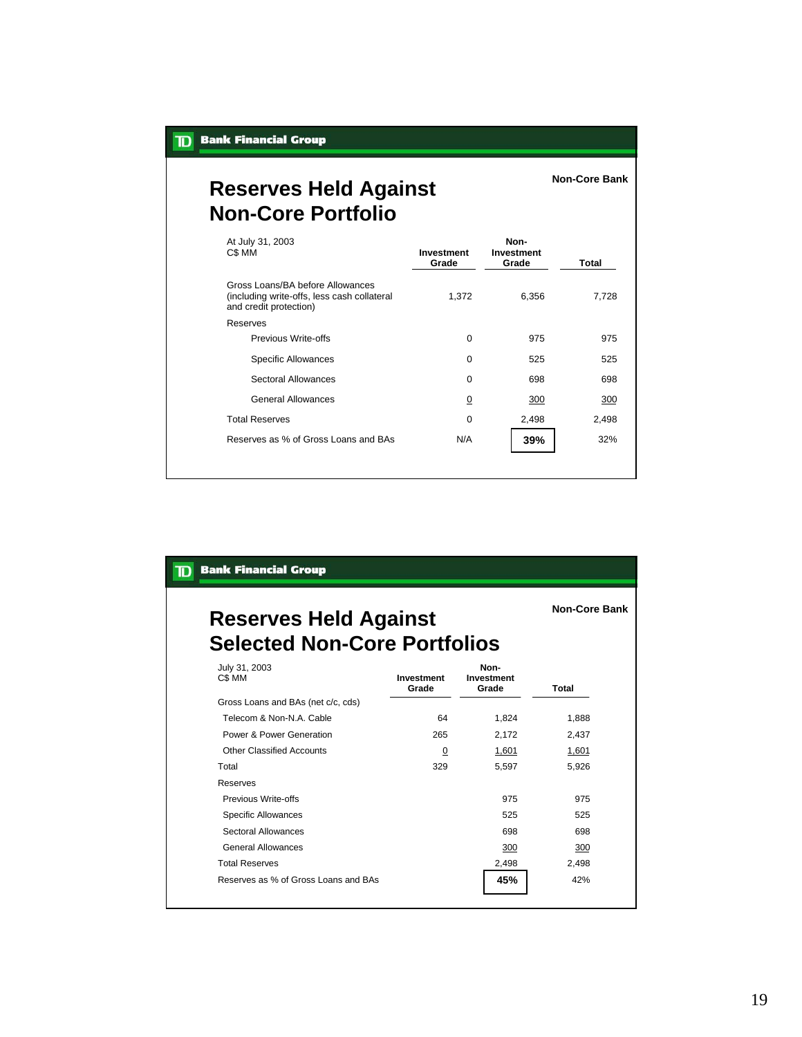**Non-Core Bank**

**Non-Core Bank**

# **Reserves Held Against Non-Core Portfolio**

| At July 31, 2003<br>C\$ MM                                                                                | Investment<br>Grade | Non-<br><b>Investment</b><br>Grade | Total |
|-----------------------------------------------------------------------------------------------------------|---------------------|------------------------------------|-------|
| Gross Loans/BA before Allowances<br>(including write-offs, less cash collateral<br>and credit protection) | 1,372               | 6,356                              | 7,728 |
| Reserves                                                                                                  |                     |                                    |       |
| Previous Write-offs                                                                                       | $\mathbf 0$         | 975                                | 975   |
| <b>Specific Allowances</b>                                                                                | $\mathbf 0$         | 525                                | 525   |
| Sectoral Allowances                                                                                       | $\mathbf 0$         | 698                                | 698   |
| General Allowances                                                                                        | $\overline{0}$      | 300                                | 300   |
| <b>Total Reserves</b>                                                                                     | $\mathbf 0$         | 2,498                              | 2,498 |
| Reserves as % of Gross Loans and BAs                                                                      | N/A                 | 39%                                | 32%   |

#### **TD** Bank Financial Group

# **Reserves Held Against Selected Non-Core Portfolios**

| July 31, 2003<br>C\$ MM              | Investment<br>Grade | Non-<br>Investment<br>Grade | Total |
|--------------------------------------|---------------------|-----------------------------|-------|
| Gross Loans and BAs (net c/c, cds)   |                     |                             |       |
| Telecom & Non-N.A. Cable             | 64                  | 1,824                       | 1,888 |
| Power & Power Generation             | 265                 | 2,172                       | 2,437 |
| Other Classified Accounts            | $\overline{0}$      | 1,601                       | 1,601 |
| Total                                | 329                 | 5,597                       | 5,926 |
| Reserves                             |                     |                             |       |
| Previous Write-offs                  |                     | 975                         | 975   |
| <b>Specific Allowances</b>           |                     | 525                         | 525   |
| Sectoral Allowances                  |                     | 698                         | 698   |
| General Allowances                   |                     | 300                         | 300   |
| <b>Total Reserves</b>                |                     | 2,498                       | 2,498 |
| Reserves as % of Gross Loans and BAs |                     | 45%                         | 42%   |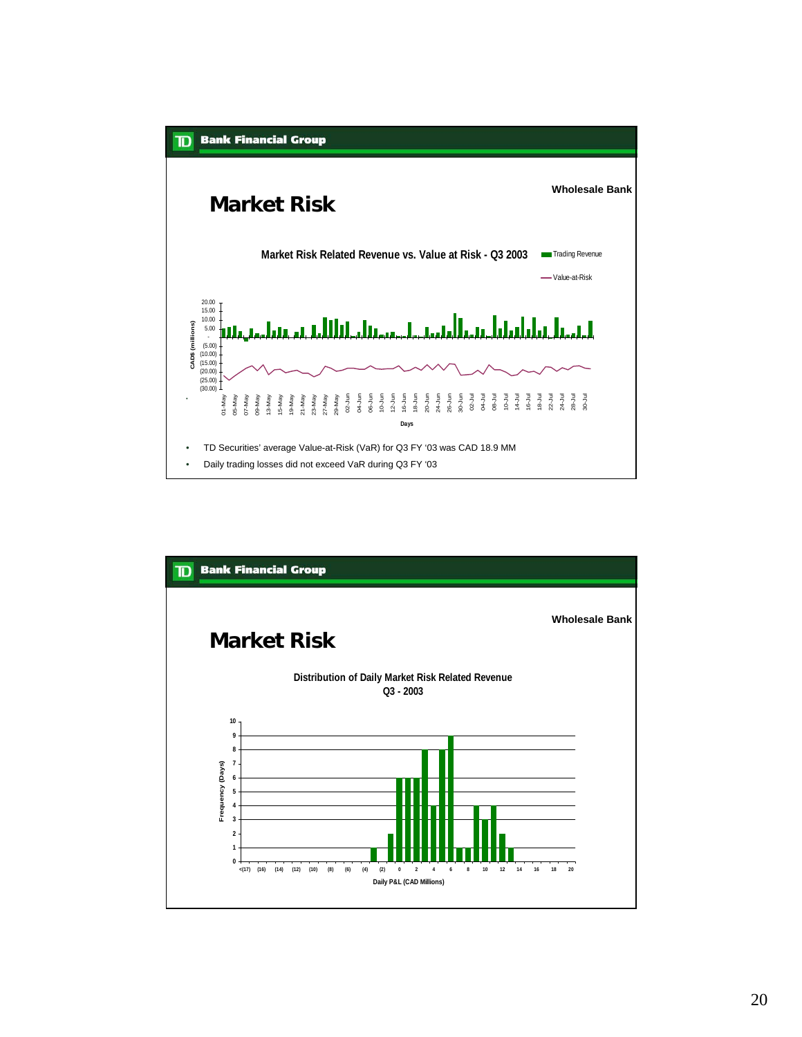

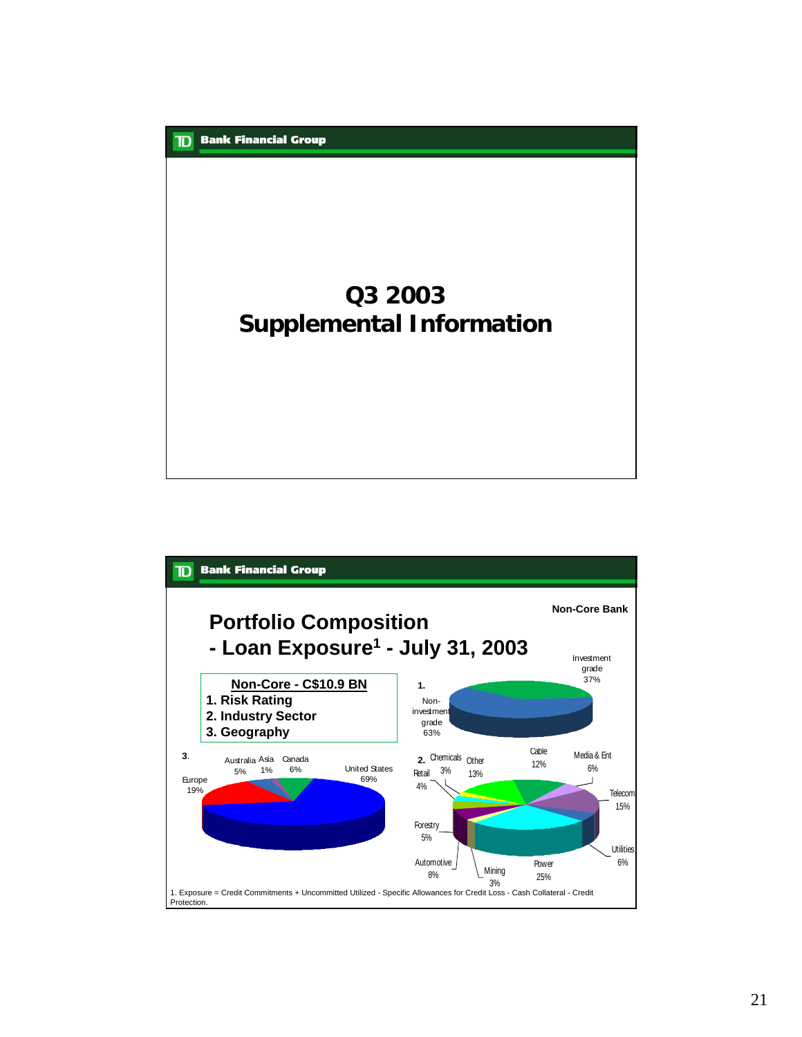# **Q3 2003 Supplemental Information**

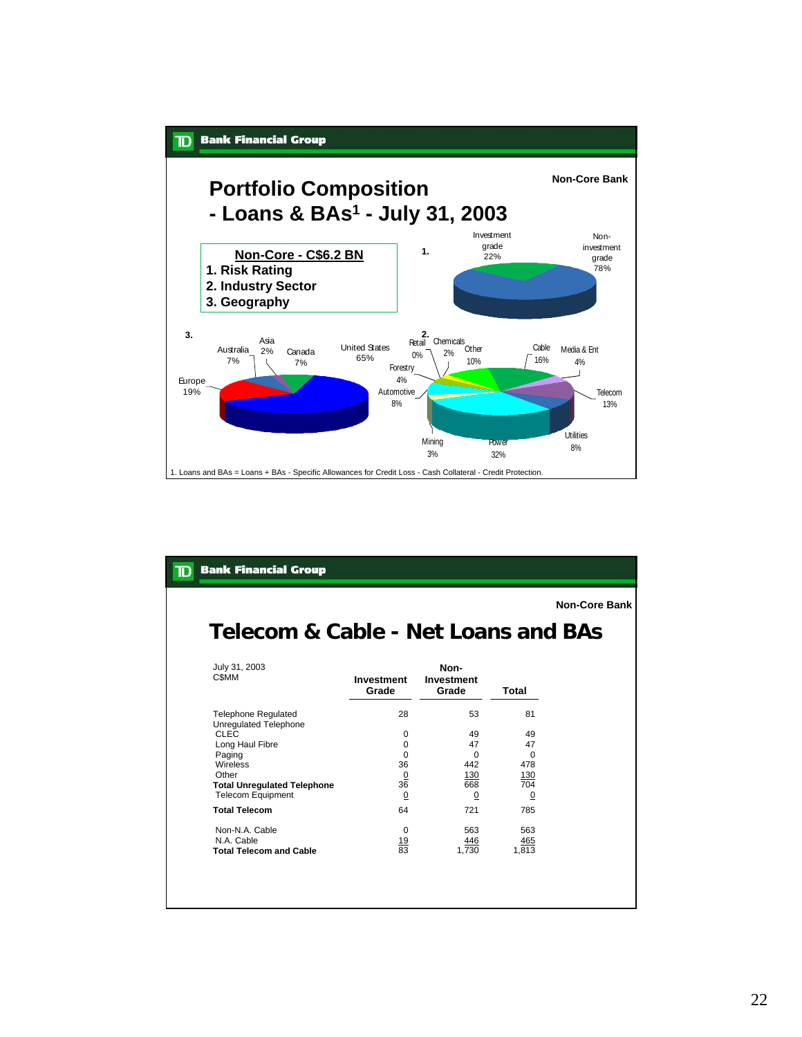

**Non-Core Bank**

# **Telecom & Cable - Net Loans and BAs**

| Investment<br>Grade | Non-<br>Investment<br>Grade       | Total      |
|---------------------|-----------------------------------|------------|
|                     |                                   |            |
| 28                  | 53                                | 81         |
|                     |                                   |            |
| 0                   | 49                                | 49         |
| 0                   | 47                                | 47         |
| O                   | 0                                 | $\Omega$   |
| 36                  | 442                               | 478        |
|                     | 130                               | <u>130</u> |
|                     | 668                               | 704        |
| <u>0</u>            | <u>0</u>                          | <u>0</u>   |
| 64                  | 721                               | 785        |
| 0                   | 563                               | 563        |
|                     | 446                               | 465        |
|                     | 1.730                             | 1.813      |
|                     |                                   |            |
|                     | $\frac{0}{36}$<br>$\frac{19}{83}$ |            |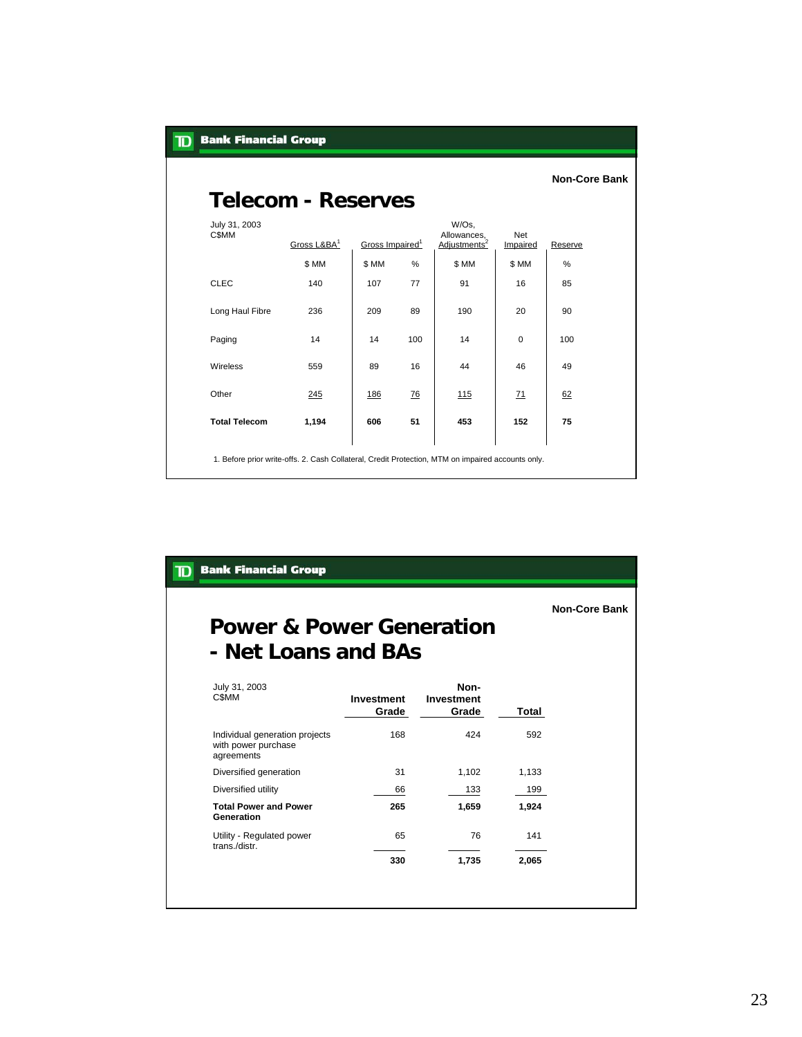| <b>Bank Financial Group</b><br>$\mathbf T$ |                                                                                                   |                             |      |                                                  |                        |                      |
|--------------------------------------------|---------------------------------------------------------------------------------------------------|-----------------------------|------|--------------------------------------------------|------------------------|----------------------|
| <b>Telecom - Reserves</b>                  |                                                                                                   |                             |      |                                                  |                        | <b>Non-Core Bank</b> |
| July 31, 2003<br><b>CSMM</b>               | Gross L&BA <sup>1</sup>                                                                           | Gross Impaired <sup>1</sup> |      | W/Os,<br>Allowances,<br>Adjustments <sup>2</sup> | <b>Net</b><br>Impaired | Reserve              |
|                                            | \$ MM                                                                                             | \$ MM                       | $\%$ | \$MM                                             | \$ MM                  | %                    |
| <b>CLEC</b>                                | 140                                                                                               | 107                         | 77   | 91                                               | 16                     | 85                   |
| Long Haul Fibre                            | 236                                                                                               | 209                         | 89   | 190                                              | 20                     | 90                   |
| Paging                                     | 14                                                                                                | 14                          | 100  | 14                                               | $\mathbf 0$            | 100                  |
| Wireless                                   | 559                                                                                               | 89                          | 16   | 44                                               | 46                     | 49                   |
| Other                                      | 245                                                                                               | 186                         | 76   | 115                                              | 71                     | 62                   |
| <b>Total Telecom</b>                       | 1,194                                                                                             | 606                         | 51   | 453                                              | 152                    | 75                   |
|                                            | 1. Before prior write-offs. 2. Cash Collateral, Credit Protection, MTM on impaired accounts only. |                             |      |                                                  |                        |                      |

## **Power & Power Generation - Net Loans and BAs**

**Non-Core Bank**

| July 31, 2003<br><b>CSMM</b>                                        | <b>Investment</b><br>Grade | Non-<br>Investment<br>Grade | Total |
|---------------------------------------------------------------------|----------------------------|-----------------------------|-------|
| Individual generation projects<br>with power purchase<br>agreements | 168                        | 424                         | 592   |
| Diversified generation                                              | 31                         | 1,102                       | 1,133 |
| Diversified utility                                                 | 66                         | 133                         | 199   |
| <b>Total Power and Power</b><br>Generation                          | 265                        | 1.659                       | 1,924 |
| Utility - Regulated power<br>trans./distr.                          | 65                         | 76                          | 141   |
|                                                                     | 330                        | 1,735                       | 2,065 |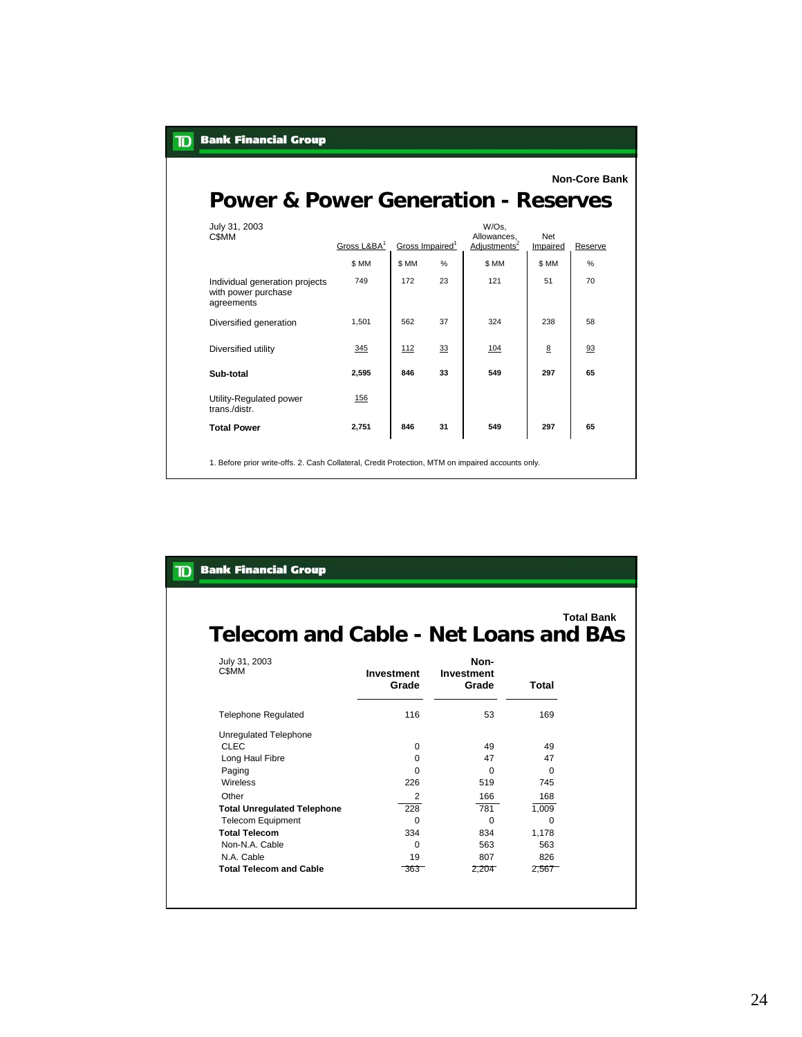| <b>Power &amp; Power Generation - Reserves</b>                      |                         |                             |    |                                                  |                 | <b>Non-Core Bank</b> |
|---------------------------------------------------------------------|-------------------------|-----------------------------|----|--------------------------------------------------|-----------------|----------------------|
|                                                                     |                         |                             |    |                                                  |                 |                      |
| July 31, 2003<br>C\$MM                                              | Gross L&BA <sup>1</sup> | Gross Impaired <sup>1</sup> |    | W/Os,<br>Allowances,<br>Adjustments <sup>2</sup> | Net<br>Impaired | Reserve              |
|                                                                     | \$ MM                   | \$ MM                       | %  | \$ MM                                            | \$ MM           | %                    |
| Individual generation projects<br>with power purchase<br>agreements | 749                     | 172                         | 23 | 121                                              | 51              | 70                   |
| Diversified generation                                              | 1,501                   | 562                         | 37 | 324                                              | 238             | 58                   |
| Diversified utility                                                 | 345                     | 112                         | 33 | 104                                              | 8               | 93                   |
| Sub-total                                                           | 2,595                   | 846                         | 33 | 549                                              | 297             | 65                   |
| Utility-Regulated power<br>trans./distr.                            | 156                     |                             |    |                                                  |                 |                      |
| <b>Total Power</b>                                                  | 2,751                   | 846                         | 31 | 549                                              | 297             | 65                   |

#### **Total Bank**

# **Telecom and Cable - Net Loans and BAs**

| July 31, 2003<br><b>CSMM</b>       | Investment<br>Grade | Non-<br>Investment<br>Grade | Total    |
|------------------------------------|---------------------|-----------------------------|----------|
| <b>Telephone Regulated</b>         | 116                 | 53                          | 169      |
| Unregulated Telephone              |                     |                             |          |
| <b>CLEC</b>                        | $\Omega$            | 49                          | 49       |
| Long Haul Fibre                    | <sup>0</sup>        | 47                          | 47       |
| Paging                             | O                   | $\Omega$                    | $\Omega$ |
| Wireless                           | 226                 | 519                         | 745      |
| Other                              | 2                   | 166                         | 168      |
| <b>Total Unregulated Telephone</b> | 228                 | 781                         | 1,009    |
| <b>Telecom Equipment</b>           | O                   | O                           | $\Omega$ |
| <b>Total Telecom</b>               | 334                 | 834                         | 1,178    |
| Non-N.A. Cable                     | $\Omega$            | 563                         | 563      |
| N.A. Cable                         | 19                  | 807                         | 826      |
| <b>Total Telecom and Cable</b>     | $-363$              | 2,204                       | 2,567    |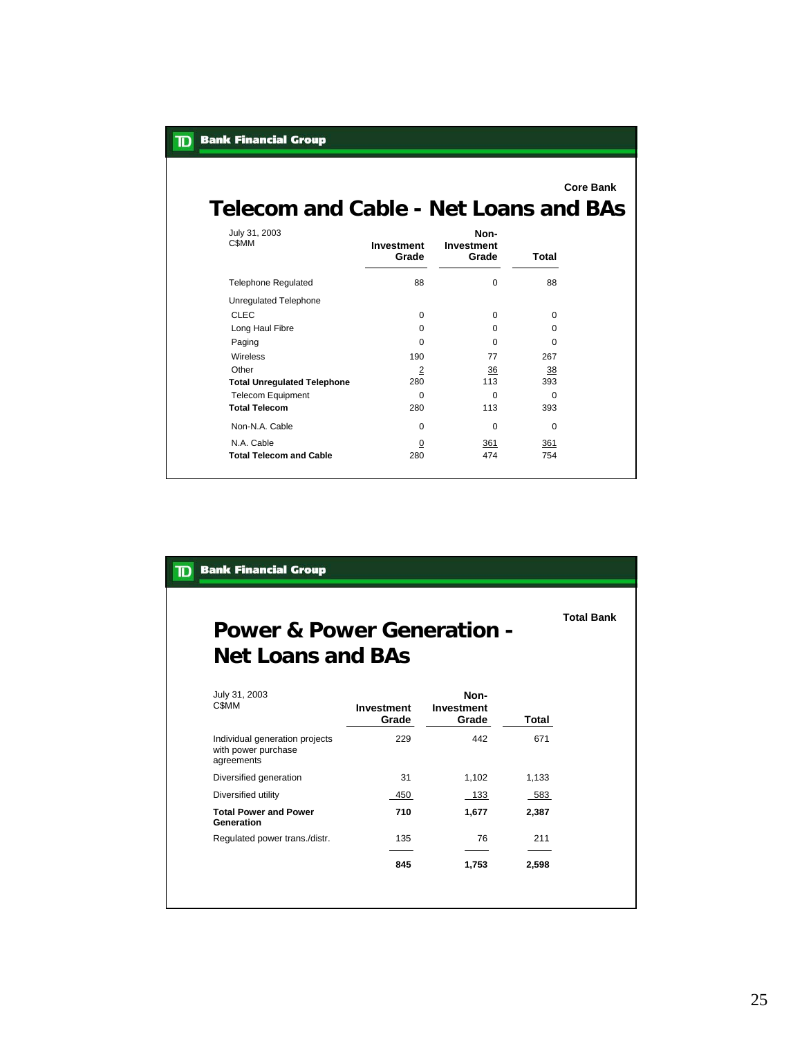| Telecom and Cable - Net Loans and BAs |                     |                             | <b>Core Bank</b> |
|---------------------------------------|---------------------|-----------------------------|------------------|
| July 31, 2003<br>C\$MM                | Investment<br>Grade | Non-<br>Investment<br>Grade | Total            |
| <b>Telephone Regulated</b>            | 88                  | $\Omega$                    | 88               |
| <b>Unregulated Telephone</b>          |                     |                             |                  |
| <b>CLEC</b>                           | $\Omega$            | $\Omega$                    | $\mathbf 0$      |
| Long Haul Fibre                       | $\Omega$            | 0                           | $\Omega$         |
| Paging                                | $\Omega$            | $\Omega$                    | $\Omega$         |
| <b>Wireless</b>                       | 190                 | 77                          | 267              |
| Other                                 | 2                   | 36                          | 38               |
| <b>Total Unregulated Telephone</b>    | 280                 | 113                         | 393              |
| <b>Telecom Equipment</b>              | $\Omega$            | $\Omega$                    | $\Omega$         |
| <b>Total Telecom</b>                  | 280                 | 113                         | 393              |
| Non-N.A. Cable                        | $\Omega$            | $\Omega$                    | $\Omega$         |
| N.A. Cable                            | $\overline{0}$      | 361                         | 361              |
| <b>Total Telecom and Cable</b>        | 280                 | 474                         | 754              |

**TD** Bank Financial Group

# **Power & Power Generation - Net Loans and BAs**

**Total Bank**

| July 31, 2003<br>C\$MM                                              | <b>Investment</b><br>Grade | Non-<br><b>Investment</b><br>Grade | Total |
|---------------------------------------------------------------------|----------------------------|------------------------------------|-------|
| Individual generation projects<br>with power purchase<br>agreements | 229                        | 442                                | 671   |
| Diversified generation                                              | 31                         | 1.102                              | 1.133 |
| Diversified utility                                                 | 450                        | 133                                | 583   |
| <b>Total Power and Power</b><br>Generation                          | 710                        | 1,677                              | 2,387 |
| Regulated power trans./distr.                                       | 135                        | 76                                 | 211   |
|                                                                     | 845                        | 1,753                              | 2,598 |